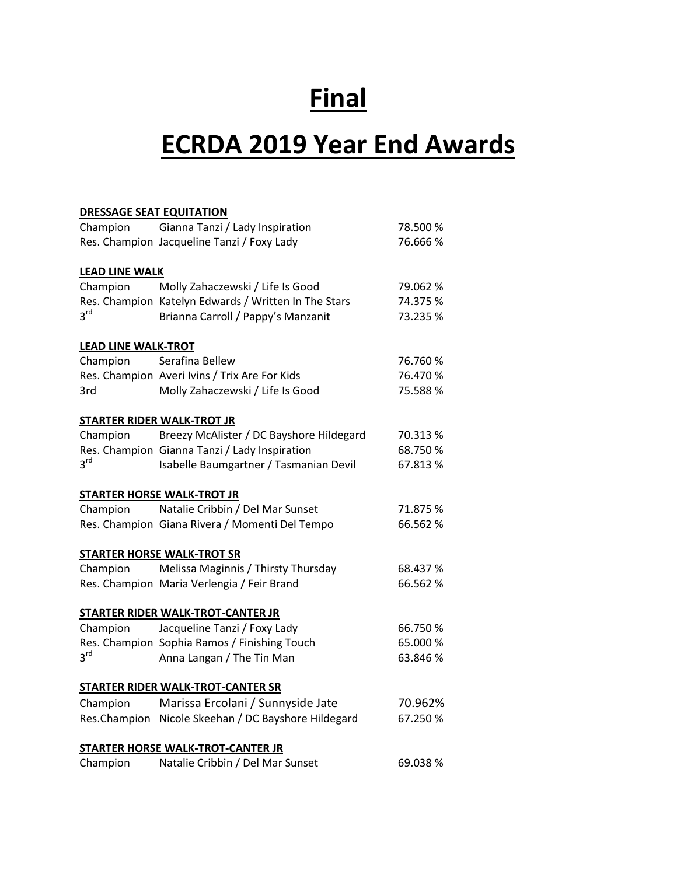# **Final**

# **ECRDA 2019 Year End Awards**

| <b>DRESSAGE SEAT EQUITATION</b> |                                                      |          |
|---------------------------------|------------------------------------------------------|----------|
| Champion                        | Gianna Tanzi / Lady Inspiration                      | 78.500 % |
|                                 | Res. Champion Jacqueline Tanzi / Foxy Lady           | 76.666 % |
| <b>LEAD LINE WALK</b>           |                                                      |          |
| Champion                        | Molly Zahaczewski / Life Is Good                     | 79.062 % |
|                                 | Res. Champion Katelyn Edwards / Written In The Stars | 74.375 % |
| 3 <sup>rd</sup>                 | Brianna Carroll / Pappy's Manzanit                   | 73.235 % |
| <b>LEAD LINE WALK-TROT</b>      |                                                      |          |
| Champion                        | Serafina Bellew                                      | 76.760 % |
|                                 | Res. Champion Averi Ivins / Trix Are For Kids        | 76.470 % |
| 3rd                             | Molly Zahaczewski / Life Is Good                     | 75.588 % |
|                                 | <b>STARTER RIDER WALK-TROT JR</b>                    |          |
| Champion                        | Breezy McAlister / DC Bayshore Hildegard             | 70.313 % |
|                                 | Res. Champion Gianna Tanzi / Lady Inspiration        | 68.750 % |
| 3 <sup>rd</sup>                 | Isabelle Baumgartner / Tasmanian Devil               | 67.813 % |
|                                 | <b>STARTER HORSE WALK-TROT JR</b>                    |          |
| Champion                        | Natalie Cribbin / Del Mar Sunset                     | 71.875 % |
|                                 | Res. Champion Giana Rivera / Momenti Del Tempo       | 66.562 % |
|                                 | <b>STARTER HORSE WALK-TROT SR</b>                    |          |
| Champion                        | Melissa Maginnis / Thirsty Thursday                  | 68.437 % |
|                                 | Res. Champion Maria Verlengia / Feir Brand           | 66.562 % |
|                                 | STARTER RIDER WALK-TROT-CANTER JR                    |          |
| Champion                        | Jacqueline Tanzi / Foxy Lady                         | 66.750 % |
|                                 | Res. Champion Sophia Ramos / Finishing Touch         | 65.000 % |
| 3 <sup>rd</sup>                 | Anna Langan / The Tin Man                            | 63.846 % |
|                                 | STARTER RIDER WALK-TROT-CANTER SR                    |          |
| Champion                        | Marissa Ercolani / Sunnyside Jate                    | 70.962%  |
|                                 | Res.Champion Nicole Skeehan / DC Bayshore Hildegard  | 67.250 % |
|                                 | STARTER HORSE WALK-TROT-CANTER JR                    |          |
| Champion                        | Natalie Cribbin / Del Mar Sunset                     | 69.038%  |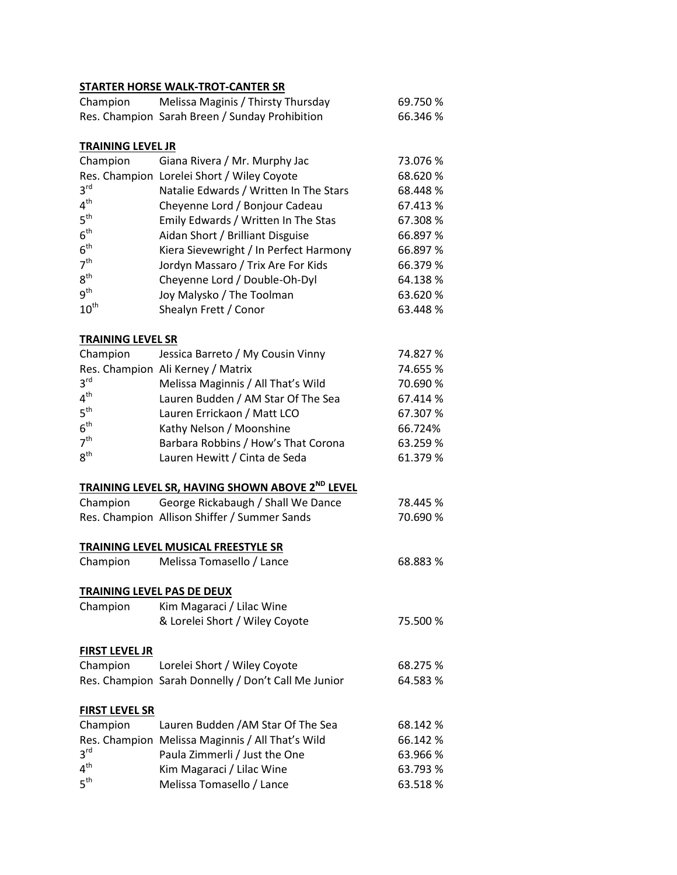### **STARTER HORSE WALK-TROT-CANTER SR**

|                            | SIAKIEK HUKSE WALK-IKUI-LANIEK SK                           |          |
|----------------------------|-------------------------------------------------------------|----------|
| Champion                   | Melissa Maginis / Thirsty Thursday                          | 69.750 % |
|                            | Res. Champion Sarah Breen / Sunday Prohibition              | 66.346 % |
|                            |                                                             |          |
| <b>TRAINING LEVEL JR</b>   |                                                             |          |
| Champion                   | Giana Rivera / Mr. Murphy Jac                               | 73.076 % |
|                            | Res. Champion Lorelei Short / Wiley Coyote                  | 68.620 % |
| 3 <sup>rd</sup>            | Natalie Edwards / Written In The Stars                      | 68.448%  |
| 4 <sup>th</sup>            | Cheyenne Lord / Bonjour Cadeau                              | 67.413 % |
| $5^{\text{th}}$            | Emily Edwards / Written In The Stas                         | 67.308 % |
| $6^{\text{th}}$            | Aidan Short / Brilliant Disguise                            | 66.897 % |
| $6^{\sf th}$               | Kiera Sievewright / In Perfect Harmony                      | 66.897 % |
| 7 <sup>th</sup>            |                                                             | 66.379 % |
| 8 <sup>th</sup>            | Jordyn Massaro / Trix Are For Kids                          |          |
| 9 <sup>th</sup>            | Cheyenne Lord / Double-Oh-Dyl                               | 64.138%  |
|                            | Joy Malysko / The Toolman                                   | 63.620 % |
| $10^{\text{th}}$           | Shealyn Frett / Conor                                       | 63.448 % |
|                            |                                                             |          |
| <b>TRAINING LEVEL SR</b>   |                                                             |          |
| Champion                   | Jessica Barreto / My Cousin Vinny                           | 74.827 % |
|                            | Res. Champion Ali Kerney / Matrix                           | 74.655 % |
| $3^{\text{rd}}$            | Melissa Maginnis / All That's Wild                          | 70.690 % |
| 4 <sup>th</sup>            | Lauren Budden / AM Star Of The Sea                          | 67.414 % |
| $5^{\text{th}}$            | Lauren Errickaon / Matt LCO                                 | 67.307 % |
| 6 <sup>th</sup>            | Kathy Nelson / Moonshine                                    | 66.724%  |
| 7 <sup>th</sup>            | Barbara Robbins / How's That Corona                         | 63.259 % |
| 8 <sup>th</sup>            | Lauren Hewitt / Cinta de Seda                               | 61.379 % |
|                            |                                                             |          |
|                            | TRAINING LEVEL SR, HAVING SHOWN ABOVE 2 <sup>ND</sup> LEVEL |          |
| Champion                   | George Rickabaugh / Shall We Dance                          | 78.445 % |
|                            | Res. Champion Allison Shiffer / Summer Sands                | 70.690 % |
|                            |                                                             |          |
|                            | TRAINING LEVEL MUSICAL FREESTYLE SR                         |          |
| Champion                   | Melissa Tomasello / Lance                                   | 68.883 % |
|                            |                                                             |          |
| TRAINING LEVEL PAS DE DEUX |                                                             |          |
|                            | Kim Magaraci / Lilac Wine                                   |          |
| Champion                   |                                                             |          |
|                            | & Lorelei Short / Wiley Coyote                              | 75.500 % |
|                            |                                                             |          |
| <b>FIRST LEVEL JR</b>      |                                                             |          |
| Champion                   | Lorelei Short / Wiley Coyote                                | 68.275 % |
|                            | Res. Champion Sarah Donnelly / Don't Call Me Junior         | 64.583 % |
|                            |                                                             |          |
| <b>FIRST LEVEL SR</b>      |                                                             |          |
| Champion                   | Lauren Budden / AM Star Of The Sea                          | 68.142 % |
|                            | Res. Champion Melissa Maginnis / All That's Wild            | 66.142 % |
| 3 <sup>rd</sup>            | Paula Zimmerli / Just the One                               | 63.966 % |
| 4 <sup>th</sup>            | Kim Magaraci / Lilac Wine                                   | 63.793 % |
| 5 <sup>th</sup>            | Melissa Tomasello / Lance                                   | 63.518%  |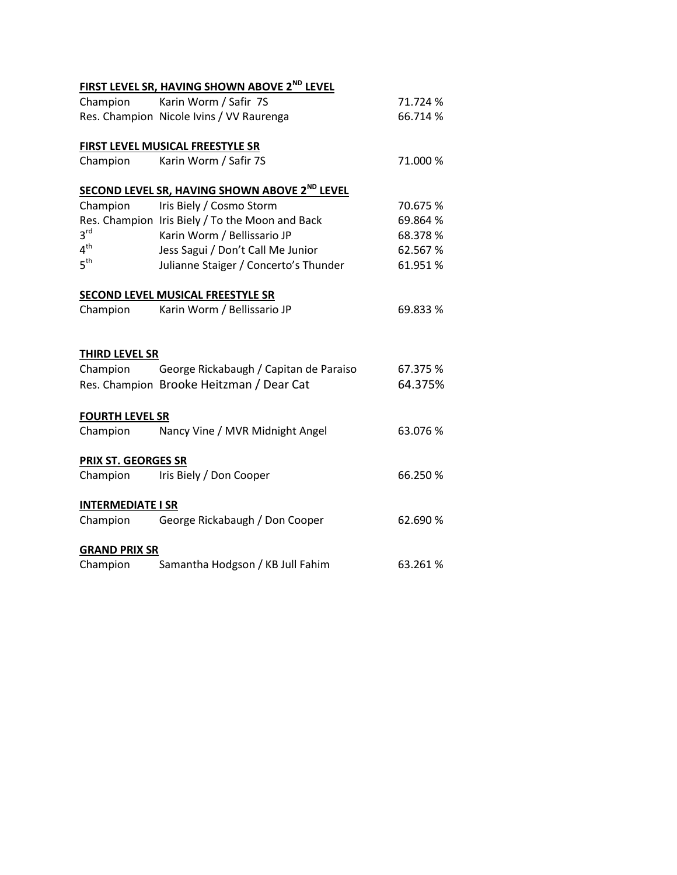|                          | <b>FIRST LEVEL SR, HAVING SHOWN ABOVE 2<sup>ND</sup> LEVEL</b> |          |
|--------------------------|----------------------------------------------------------------|----------|
| Champion                 | Karin Worm / Safir 7S                                          | 71.724 % |
|                          | Res. Champion Nicole Ivins / VV Raurenga                       | 66.714 % |
|                          | FIRST LEVEL MUSICAL FREESTYLE SR                               |          |
| Champion                 | Karin Worm / Safir 7S                                          | 71.000 % |
|                          | SECOND LEVEL SR, HAVING SHOWN ABOVE 2 <sup>ND</sup> LEVEL      |          |
| Champion                 | Iris Biely / Cosmo Storm                                       | 70.675 % |
|                          | Res. Champion Iris Biely / To the Moon and Back                | 69.864 % |
| $3^{\text{rd}}$          | Karin Worm / Bellissario JP                                    | 68.378 % |
| 4 <sup>th</sup>          | Jess Sagui / Don't Call Me Junior                              | 62.567%  |
| 5 <sup>th</sup>          | Julianne Staiger / Concerto's Thunder                          | 61.951%  |
|                          | <b>SECOND LEVEL MUSICAL FREESTYLE SR</b>                       |          |
| Champion                 | Karin Worm / Bellissario JP                                    | 69.833 % |
| THIRD LEVEL SR           |                                                                |          |
|                          | Champion George Rickabaugh / Capitan de Paraiso                | 67.375 % |
|                          | Res. Champion Brooke Heitzman / Dear Cat                       | 64.375%  |
| <b>FOURTH LEVEL SR</b>   |                                                                |          |
| Champion                 | Nancy Vine / MVR Midnight Angel                                | 63.076 % |
| PRIX ST. GEORGES SR      |                                                                |          |
| Champion                 | Iris Biely / Don Cooper                                        | 66.250 % |
| <b>INTERMEDIATE I SR</b> |                                                                |          |
| Champion                 | George Rickabaugh / Don Cooper                                 | 62.690 % |
| <b>GRAND PRIX SR</b>     |                                                                |          |
| Champion                 | Samantha Hodgson / KB Jull Fahim                               | 63.261%  |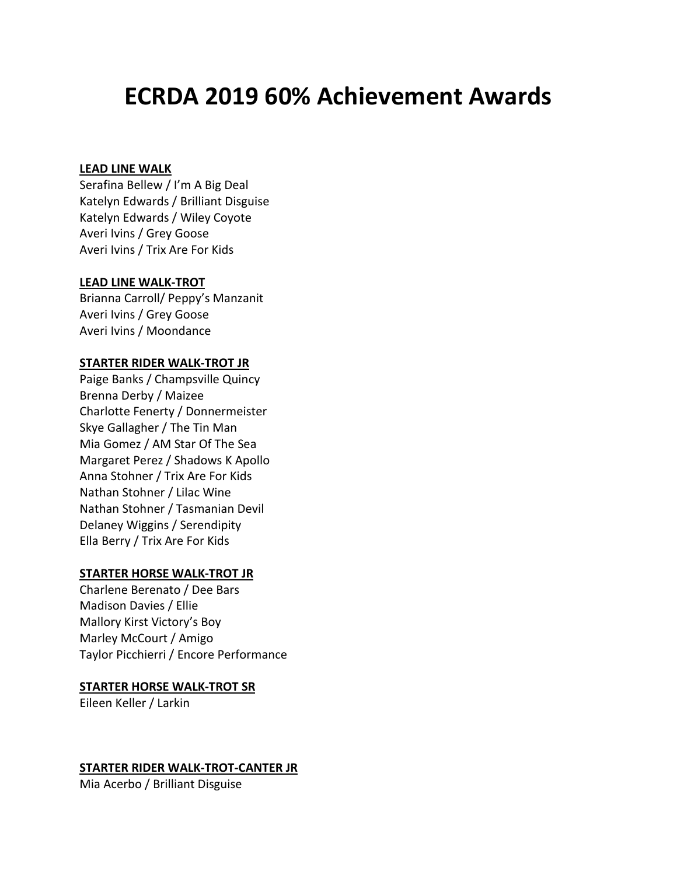## **ECRDA 2019 60% Achievement Awards**

#### **LEAD LINE WALK**

Serafina Bellew / I'm A Big Deal Katelyn Edwards / Brilliant Disguise Katelyn Edwards / Wiley Coyote Averi Ivins / Grey Goose Averi Ivins / Trix Are For Kids

#### **LEAD LINE WALK-TROT**

Brianna Carroll/ Peppy's Manzanit Averi Ivins / Grey Goose Averi Ivins / Moondance

#### **STARTER RIDER WALK-TROT JR**

Paige Banks / Champsville Quincy Brenna Derby / Maizee Charlotte Fenerty / Donnermeister Skye Gallagher / The Tin Man Mia Gomez / AM Star Of The Sea Margaret Perez / Shadows K Apollo Anna Stohner / Trix Are For Kids Nathan Stohner / Lilac Wine Nathan Stohner / Tasmanian Devil Delaney Wiggins / Serendipity Ella Berry / Trix Are For Kids

#### **STARTER HORSE WALK-TROT JR**

Charlene Berenato / Dee Bars Madison Davies / Ellie Mallory Kirst Victory's Boy Marley McCourt / Amigo Taylor Picchierri / Encore Performance

#### **STARTER HORSE WALK-TROT SR**

Eileen Keller / Larkin

#### **STARTER RIDER WALK-TROT-CANTER JR**

Mia Acerbo / Brilliant Disguise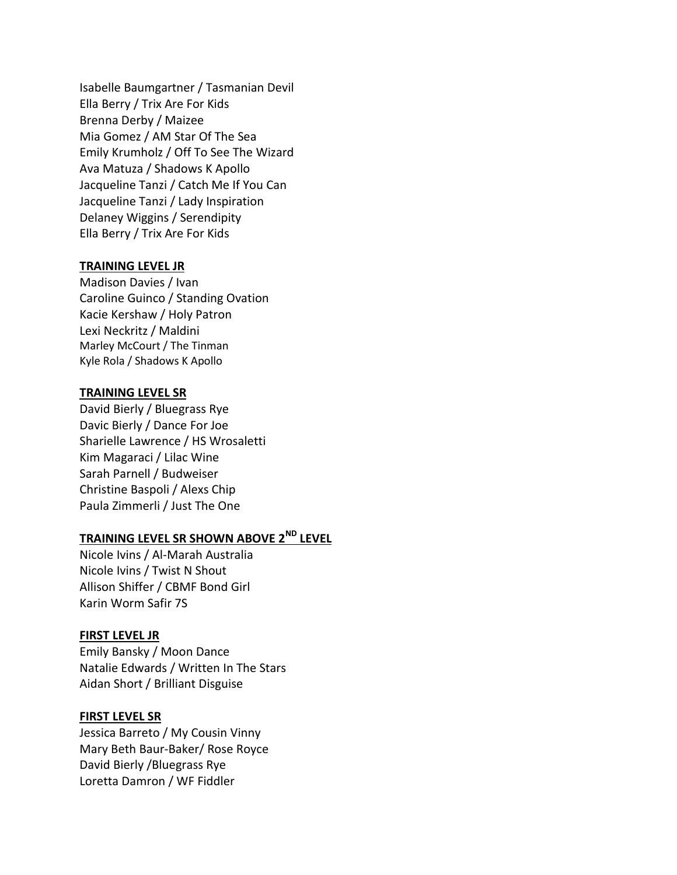Isabelle Baumgartner / Tasmanian Devil Ella Berry / Trix Are For Kids Brenna Derby / Maizee Mia Gomez / AM Star Of The Sea Emily Krumholz / Off To See The Wizard Ava Matuza / Shadows K Apollo Jacqueline Tanzi / Catch Me If You Can Jacqueline Tanzi / Lady Inspiration Delaney Wiggins / Serendipity Ella Berry / Trix Are For Kids

#### **TRAINING LEVEL JR**

Madison Davies / Ivan Caroline Guinco / Standing Ovation Kacie Kershaw / Holy Patron Lexi Neckritz / Maldini Marley McCourt / The Tinman Kyle Rola / Shadows K Apollo

#### **TRAINING LEVEL SR**

David Bierly / Bluegrass Rye Davic Bierly / Dance For Joe Sharielle Lawrence / HS Wrosaletti Kim Magaraci / Lilac Wine Sarah Parnell / Budweiser Christine Baspoli / Alexs Chip Paula Zimmerli / Just The One

### **TRAINING LEVEL SR SHOWN ABOVE 2ND LEVEL**

Nicole Ivins / Al-Marah Australia Nicole Ivins / Twist N Shout Allison Shiffer / CBMF Bond Girl Karin Worm Safir 7S

#### **FIRST LEVEL JR**

Emily Bansky / Moon Dance Natalie Edwards / Written In The Stars Aidan Short / Brilliant Disguise

#### **FIRST LEVEL SR**

Jessica Barreto / My Cousin Vinny Mary Beth Baur-Baker/ Rose Royce David Bierly /Bluegrass Rye Loretta Damron / WF Fiddler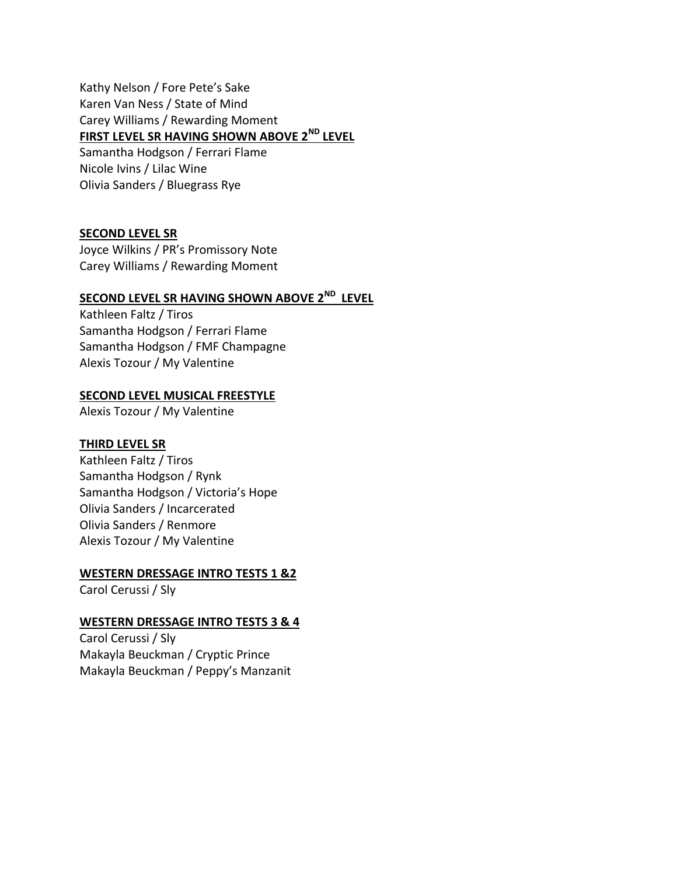Kathy Nelson / Fore Pete's Sake Karen Van Ness / State of Mind Carey Williams / Rewarding Moment **FIRST LEVEL SR HAVING SHOWN ABOVE 2ND LEVEL** Samantha Hodgson / Ferrari Flame Nicole Ivins / Lilac Wine Olivia Sanders / Bluegrass Rye

#### **SECOND LEVEL SR**

Joyce Wilkins / PR's Promissory Note Carey Williams / Rewarding Moment

## **SECOND LEVEL SR HAVING SHOWN ABOVE 2 ND LEVEL**

Kathleen Faltz / Tiros Samantha Hodgson / Ferrari Flame Samantha Hodgson / FMF Champagne Alexis Tozour / My Valentine

#### **SECOND LEVEL MUSICAL FREESTYLE**

Alexis Tozour / My Valentine

#### **THIRD LEVEL SR**

Kathleen Faltz / Tiros Samantha Hodgson / Rynk Samantha Hodgson / Victoria's Hope Olivia Sanders / Incarcerated Olivia Sanders / Renmore Alexis Tozour / My Valentine

#### **WESTERN DRESSAGE INTRO TESTS 1 &2**

Carol Cerussi / Sly

#### **WESTERN DRESSAGE INTRO TESTS 3 & 4**

Carol Cerussi / Sly Makayla Beuckman / Cryptic Prince Makayla Beuckman / Peppy's Manzanit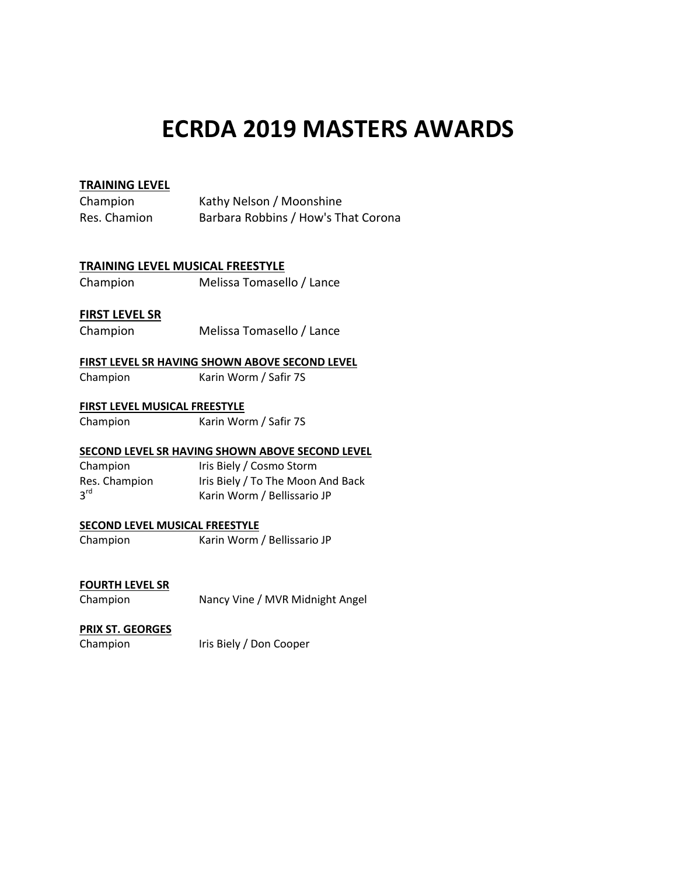## **ECRDA 2019 MASTERS AWARDS**

#### **TRAINING LEVEL**

| Champion     | Kathy Nelson / Moonshine            |
|--------------|-------------------------------------|
| Res. Chamion | Barbara Robbins / How's That Corona |

#### **TRAINING LEVEL MUSICAL FREESTYLE**

Champion Melissa Tomasello / Lance

#### **FIRST LEVEL SR**

Champion Melissa Tomasello / Lance

#### **FIRST LEVEL SR HAVING SHOWN ABOVE SECOND LEVEL**

Champion Karin Worm / Safir 7S

#### **FIRST LEVEL MUSICAL FREESTYLE**

Champion Karin Worm / Safir 7S

#### **SECOND LEVEL SR HAVING SHOWN ABOVE SECOND LEVEL**

Champion Iris Biely / Cosmo Storm Res. Champion Iris Biely / To The Moon And Back  $3<sup>rd</sup>$ Karin Worm / Bellissario JP

#### **SECOND LEVEL MUSICAL FREESTYLE**

Champion Karin Worm / Bellissario JP

#### **FOURTH LEVEL SR**

Champion Nancy Vine / MVR Midnight Angel

#### **PRIX ST. GEORGES**

Champion Iris Biely / Don Cooper